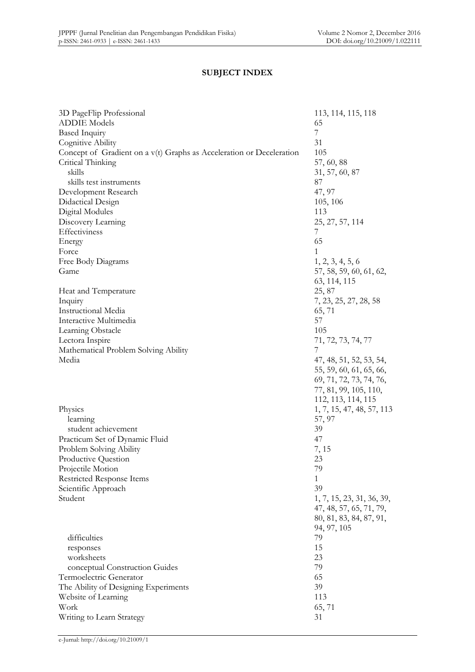## **SUBJECT INDEX**

| 3D PageFlip Professional<br><b>ADDIE Models</b>                      | 113, 114, 115, 118<br>65  |
|----------------------------------------------------------------------|---------------------------|
|                                                                      | 7                         |
| <b>Based Inquiry</b>                                                 |                           |
| Cognitive Ability                                                    | 31                        |
| Concept of Gradient on a v(t) Graphs as Acceleration or Deceleration | 105                       |
| Critical Thinking                                                    | 57, 60, 88                |
| skills                                                               | 31, 57, 60, 87            |
| skills test instruments                                              | 87                        |
| Development Research                                                 | 47, 97                    |
| Didactical Design                                                    | 105, 106                  |
| Digital Modules                                                      | 113                       |
| Discovery Learning                                                   | 25, 27, 57, 114           |
| Effectiviness                                                        | 7                         |
| Energy                                                               | 65                        |
| Force                                                                | 1                         |
| Free Body Diagrams                                                   | 1, 2, 3, 4, 5, 6          |
|                                                                      |                           |
| Game                                                                 | 57, 58, 59, 60, 61, 62,   |
|                                                                      | 63, 114, 115              |
| Heat and Temperature                                                 | 25, 87                    |
| Inquiry                                                              | 7, 23, 25, 27, 28, 58     |
| Instructional Media                                                  | 65,71                     |
| Interactive Multimedia                                               | 57                        |
| Learning Obstacle                                                    | 105                       |
| Lectora Inspire                                                      | 71, 72, 73, 74, 77        |
| Mathematical Problem Solving Ability                                 | 7                         |
| Media                                                                | 47, 48, 51, 52, 53, 54,   |
|                                                                      | 55, 59, 60, 61, 65, 66,   |
|                                                                      | 69, 71, 72, 73, 74, 76,   |
|                                                                      |                           |
|                                                                      | 77, 81, 99, 105, 110,     |
|                                                                      | 112, 113, 114, 115        |
| Physics                                                              | 1, 7, 15, 47, 48, 57, 113 |
| learning                                                             | 57, 97                    |
| student achievement                                                  | 39                        |
| Practicum Set of Dynamic Fluid                                       | 47                        |
| Problem Solving Ability                                              | 7, 15                     |
| Productive Question                                                  | 23                        |
| Projectile Motion                                                    | 79                        |
| Restricted Response Items                                            | 1                         |
| Scientific Approach                                                  | 39                        |
| Student                                                              | 1, 7, 15, 23, 31, 36, 39, |
|                                                                      | 47, 48, 57, 65, 71, 79,   |
|                                                                      |                           |
|                                                                      | 80, 81, 83, 84, 87, 91,   |
|                                                                      | 94, 97, 105               |
| difficulties                                                         | 79                        |
| responses                                                            | 15                        |
| worksheets                                                           | 23                        |
| conceptual Construction Guides                                       | 79                        |
| Termoelectric Generator                                              | 65                        |
| The Ability of Designing Experiments                                 | 39                        |
| Website of Learning                                                  | 113                       |
| Work                                                                 | 65, 71                    |
| Writing to Learn Strategy                                            | 31                        |
|                                                                      |                           |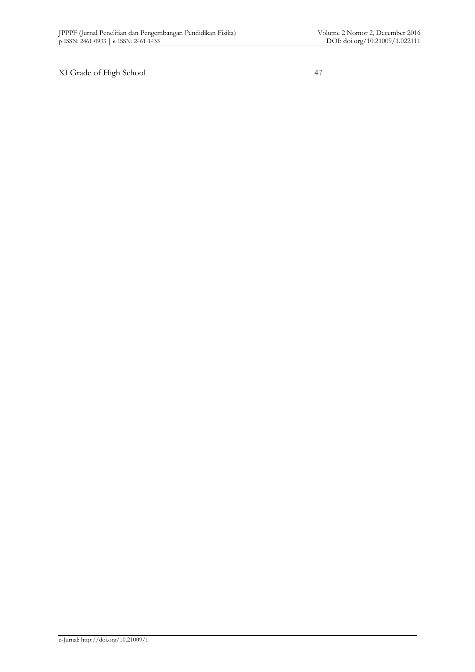XI Grade of High School 47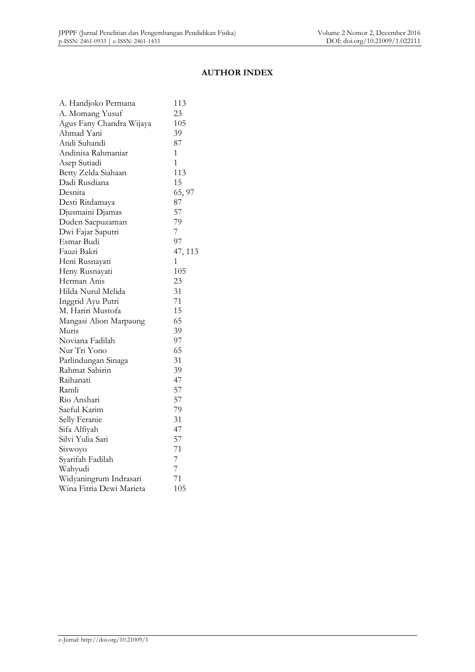#### **AUTHOR INDEX**

| A. Handjoko Permana      | 113     |
|--------------------------|---------|
| A. Momang Yusuf          | 23      |
| Agus Fany Chandra Wijaya | 105     |
| Ahmad Yani               | 39      |
| Andi Suhandi             | 87      |
| Andinisa Rahmaniar       | 1       |
| Asep Sutiadi             | 1       |
| Betty Zelda Siahaan      | 113     |
| Dadi Rusdiana            | 15      |
| Desnita                  | 65, 97  |
| Desti Ritdamaya          | 87      |
| Djusmaini Djamas         | 57      |
| Duden Saepuzaman         | 79      |
| Dwi Fajar Saputri        | 7       |
| Esmar Budi               | 97      |
| Fauzi Bakri              | 47, 113 |
| Heni Rusnayati           | 1       |
| Heny Rusnayati           | 105     |
| Herman Anis              | 23      |
| Hilda Nurul Melida       | 31      |
| Inggrid Ayu Putri        | 71      |
| M. Hariri Mustofa        | 15      |
| Mangasi Alion Marpaung   | 65      |
| Muris                    | 39      |
| Noviana Fadilah          | 97      |
| Nur Tri Yono             | 65      |
| Parlindungan Sinaga      | 31      |
| Rahmat Sabirin           | 39      |
| Raihanati                | 47      |
| Ramli                    | 57      |
| Rio Anshari              | 57      |
| Saeful Karim             | 79      |
| Selly Feranie            | 31      |
| Sifa Alfiyah             | 47      |
| Silvi Yulia Sari         | 57      |
| Siswoyo                  | 71      |
| Syarifah Fadilah         | 7       |
| Wahyudi                  | 7       |
| Widyaningrum Indrasari   | 71      |
| Wina Fitria Dewi Marieta | 105     |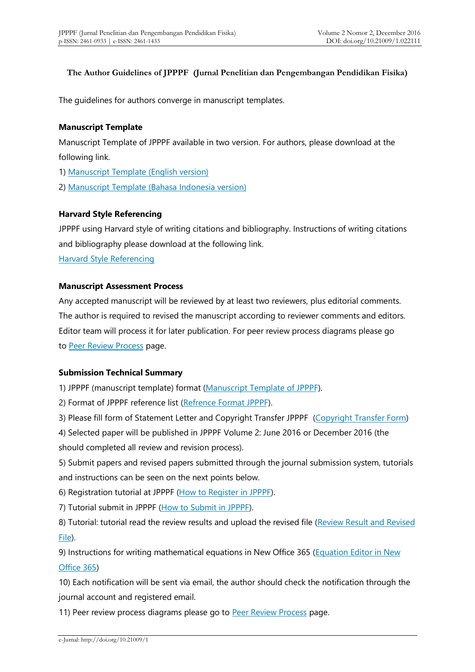#### **The Author Guidelines of JPPPF (Jurnal Penelitian dan Pengembangan Pendidikan Fisika)**

The guidelines for authors converge in manuscript templates.

#### **Manuscript Template**

Manuscript Template of JPPPF available in two version. For authors, please download at the following link.

1) [Manuscript Template \(English version\)](https://drive.google.com/open?id=0B4Xa5CiP3JF8c0ZzQjNmNXI1dHM)

2) [Manuscript Template \(Bahasa Indonesia version\)](https://drive.google.com/open?id=0B4Xa5CiP3JF8enJiTzlMSEI1LUU)

#### **Harvard Style Referencing**

JPPPF using Harvard style of writing citations and bibliography. Instructions of writing citations and bibliography please download at the following link.

[Harvard Style Referencing](https://drive.google.com/open?id=0B4Xa5CiP3JF8M0xVNk0zek0wV00)

#### **Manuscript Assessment Process**

Any accepted manuscript will be reviewed by at least two reviewers, plus editorial comments. The author is required to revised the manuscript according to reviewer comments and editors. Editor team will process it for later publication. For peer review process diagrams please go to [Peer Review Process](http://journal.unj.ac.id/unj/index.php/jpppf/reviewprocess) page.

### **Submission Technical Summary**

1) JPPPF (manuscript template) format [\(Manuscript Template of JPPPF\)](http://journal.unj.ac.id/unj/index.php/jpppf/manuscripttemplate).

2) Format of JPPPF reference list [\(Refrence Format JPPPF](http://tiny.cc/FormatRefJPPPF)).

3) Please fill form of Statement Letter and Copyright Transfer JPPPF [\(Copyright Transfer Form](https://form.jotform.me/72668472702462))

4) Selected paper will be published in JPPPF Volume 2: June 2016 or December 2016 (the should completed all review and revision process).

5) Submit papers and revised papers submitted through the journal submission system, tutorials and instructions can be seen on the next points below.

6) Registration tutorial at JPPPF [\(How to Register in JPPPF\)](https://youtu.be/VsVdfjGES2s).

7) Tutorial submit in JPPPF [\(How to Submit in JPPPF\)](https://youtu.be/AwNlxiaeVys).

8) Tutorial: tutorial read the review results and upload the revised file [\(Review Result and Revised](https://www.youtube.com/watch?v=WlCydgQdrMY) [File\)](https://www.youtube.com/watch?v=WlCydgQdrMY).

9) Instructions for writing mathematical equations in New Office 365 [\(Equation Editor in New](http://journal.unj.ac.id/unj/index.php/jpppf/equation) [Office 365\)](http://journal.unj.ac.id/unj/index.php/jpppf/equation)

10) Each notification will be sent via email, the author should check the notification through the journal account and registered email.

11) Peer review process diagrams please go to [Peer Review Process](http://journal.unj.ac.id/unj/index.php/jpppf/reviewprocess) page.